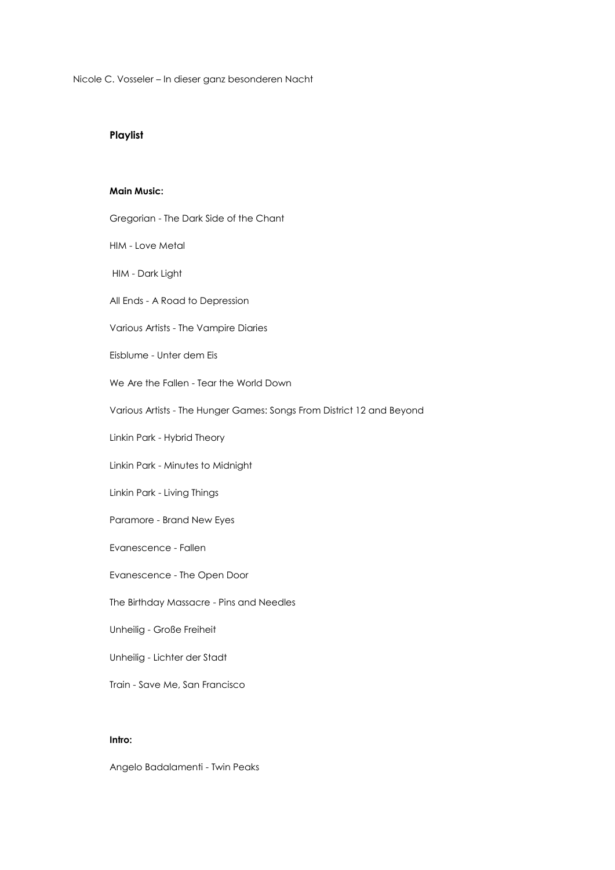Nicole C. Vosseler – In dieser ganz besonderen Nacht

# **Playlist**

## **Main Music:**

| Gregorian - The Dark Side of the Chant                                |
|-----------------------------------------------------------------------|
| <b>HIM - Love Metal</b>                                               |
| HIM - Dark Light                                                      |
| All Ends - A Road to Depression                                       |
| Various Artists - The Vampire Diaries                                 |
| Eisblume - Unter dem Eis                                              |
| We Are the Fallen - Tear the World Down                               |
| Various Artists - The Hunger Games: Songs From District 12 and Beyond |
| Linkin Park - Hybrid Theory                                           |
| Linkin Park - Minutes to Midnight                                     |
| Linkin Park - Living Things                                           |
| Paramore - Brand New Eyes                                             |
| Evanescence - Fallen                                                  |
| Evanescence - The Open Door                                           |
| The Birthday Massacre - Pins and Needles                              |
| Unheilig - Große Freiheit                                             |
| Unheilig - Lichter der Stadt                                          |
| Train - Save Me, San Francisco                                        |
|                                                                       |

## **Intro:**

Angelo Badalamenti - Twin Peaks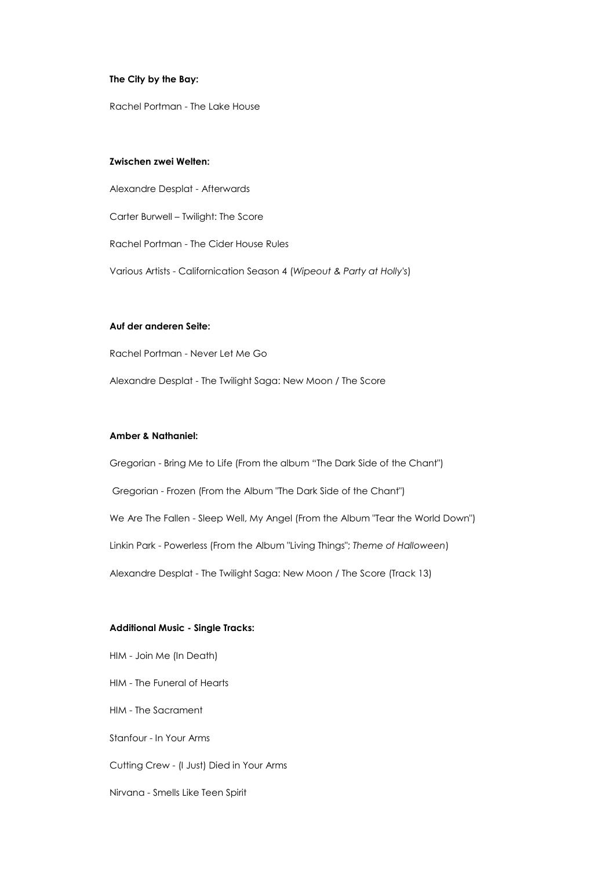### **The City by the Bay:**

Rachel Portman - The Lake House

#### **Zwischen zwei Welten:**

Alexandre Desplat - Afterwards Carter Burwell – Twilight: The Score Rachel Portman - The Cider House Rules Various Artists - Californication Season 4 (*Wipeout & Party at Holly's*)

## **Auf der anderen Seite:**

Rachel Portman - Never Let Me Go

Alexandre Desplat - The Twilight Saga: New Moon / The Score

## **Amber & Nathaniel:**

Gregorian - Bring Me to Life (From the album "The Dark Side of the Chant") Gregorian - Frozen (From the Album "The Dark Side of the Chant") We Are The Fallen - Sleep Well, My Angel (From the Album "Tear the World Down") Linkin Park - Powerless (From the Album "Living Things"; *Theme of Halloween*) Alexandre Desplat - The Twilight Saga: New Moon / The Score (Track 13)

### **Additional Music - Single Tracks:**

HIM - Join Me (In Death) HIM - The Funeral of Hearts HIM - The Sacrament Stanfour - In Your Arms Cutting Crew - (I Just) Died in Your Arms Nirvana - Smells Like Teen Spirit